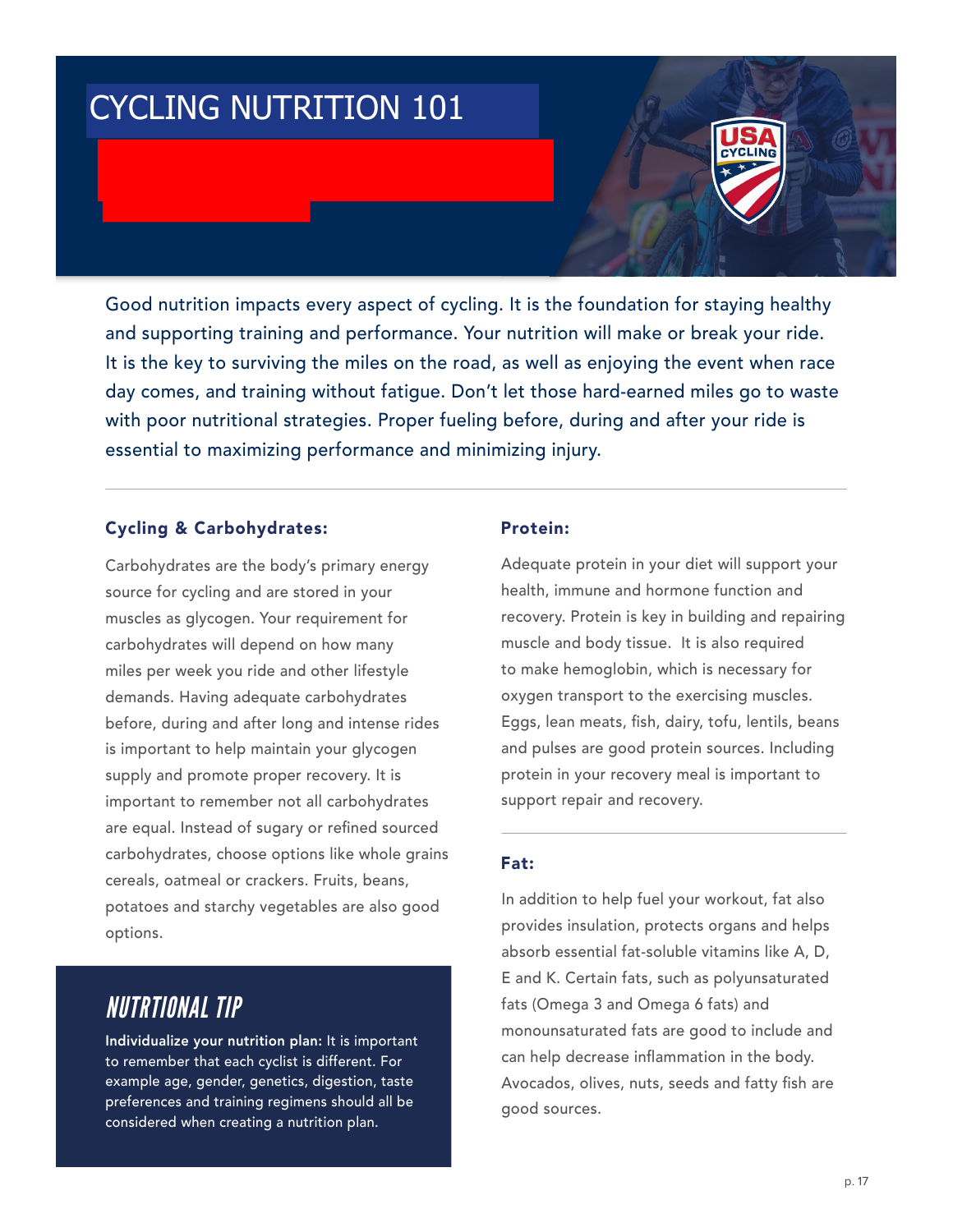# CYCLING NUTRITION 101

Good nutrition impacts every aspect of cycling. It is the foundation for staying healthy and supporting training and performance. Your nutrition will make or break your ride. It is the key to surviving the miles on the road, as well as enjoying the event when race day comes, and training without fatigue. Don't let those hard-earned miles go to waste with poor nutritional strategies. Proper fueling before, during and after your ride is essential to maximizing performance and minimizing injury.

#### Cycling & Carbohydrates:

Carbohydrates are the body's primary energy source for cycling and are stored in your muscles as glycogen. Your requirement for carbohydrates will depend on how many miles per week you ride and other lifestyle demands. Having adequate carbohydrates before, during and after long and intense rides is important to help maintain your glycogen supply and promote proper recovery. It is important to remember not all carbohydrates are equal. Instead of sugary or refined sourced carbohydrates, choose options like whole grains cereals, oatmeal or crackers. Fruits, beans, potatoes and starchy vegetables are also good options.

## *NUTRTIONAL TIP*

Individualize your nutrition plan: It is important to remember that each cyclist is different. For example age, gender, genetics, digestion, taste preferences and training regimens should all be considered when creating a nutrition plan.

#### Protein:

Adequate protein in your diet will support your health, immune and hormone function and recovery. Protein is key in building and repairing muscle and body tissue. It is also required to make hemoglobin, which is necessary for oxygen transport to the exercising muscles. Eggs, lean meats, fish, dairy, tofu, lentils, beans and pulses are good protein sources. Including protein in your recovery meal is important to support repair and recovery.

#### Fat:

In addition to help fuel your workout, fat also provides insulation, protects organs and helps absorb essential fat-soluble vitamins like A, D, E and K. Certain fats, such as polyunsaturated fats (Omega 3 and Omega 6 fats) and monounsaturated fats are good to include and can help decrease inflammation in the body. Avocados, olives, nuts, seeds and fatty fish are good sources.